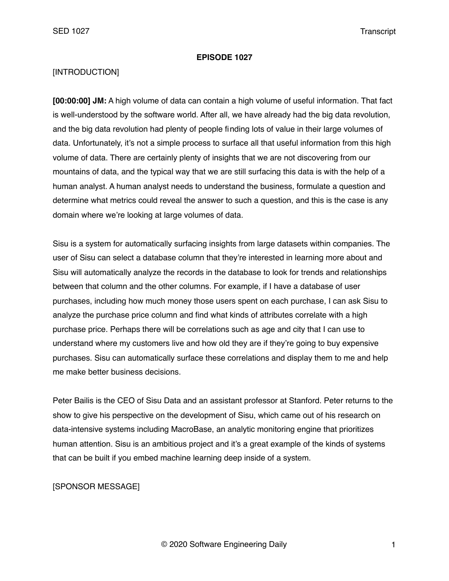#### **EPISODE 1027**

### [INTRODUCTION]

**[00:00:00] JM:** A high volume of data can contain a high volume of useful information. That fact is well-understood by the software world. After all, we have already had the big data revolution, and the big data revolution had plenty of people finding lots of value in their large volumes of data. Unfortunately, it's not a simple process to surface all that useful information from this high volume of data. There are certainly plenty of insights that we are not discovering from our mountains of data, and the typical way that we are still surfacing this data is with the help of a human analyst. A human analyst needs to understand the business, formulate a question and determine what metrics could reveal the answer to such a question, and this is the case is any domain where we're looking at large volumes of data.

Sisu is a system for automatically surfacing insights from large datasets within companies. The user of Sisu can select a database column that they're interested in learning more about and Sisu will automatically analyze the records in the database to look for trends and relationships between that column and the other columns. For example, if I have a database of user purchases, including how much money those users spent on each purchase, I can ask Sisu to analyze the purchase price column and find what kinds of attributes correlate with a high purchase price. Perhaps there will be correlations such as age and city that I can use to understand where my customers live and how old they are if they're going to buy expensive purchases. Sisu can automatically surface these correlations and display them to me and help me make better business decisions.

Peter Bailis is the CEO of Sisu Data and an assistant professor at Stanford. Peter returns to the show to give his perspective on the development of Sisu, which came out of his research on data-intensive systems including MacroBase, an analytic monitoring engine that prioritizes human attention. Sisu is an ambitious project and it's a great example of the kinds of systems that can be built if you embed machine learning deep inside of a system.

### [SPONSOR MESSAGE]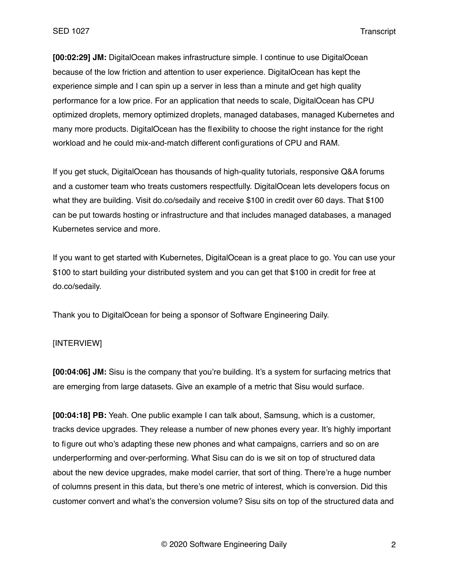**[00:02:29] JM:** DigitalOcean makes infrastructure simple. I continue to use DigitalOcean because of the low friction and attention to user experience. DigitalOcean has kept the experience simple and I can spin up a server in less than a minute and get high quality performance for a low price. For an application that needs to scale, DigitalOcean has CPU optimized droplets, memory optimized droplets, managed databases, managed Kubernetes and many more products. DigitalOcean has the flexibility to choose the right instance for the right workload and he could mix-and-match different configurations of CPU and RAM.

If you get stuck, DigitalOcean has thousands of high-quality tutorials, responsive Q&A forums and a customer team who treats customers respectfully. DigitalOcean lets developers focus on what they are building. Visit do.co/sedaily and receive \$100 in credit over 60 days. That \$100 can be put towards hosting or infrastructure and that includes managed databases, a managed Kubernetes service and more.

If you want to get started with Kubernetes, DigitalOcean is a great place to go. You can use your \$100 to start building your distributed system and you can get that \$100 in credit for free at do.co/sedaily.

Thank you to DigitalOcean for being a sponsor of Software Engineering Daily.

# [INTERVIEW]

**[00:04:06] JM:** Sisu is the company that you're building. It's a system for surfacing metrics that are emerging from large datasets. Give an example of a metric that Sisu would surface.

**[00:04:18] PB:** Yeah. One public example I can talk about, Samsung, which is a customer, tracks device upgrades. They release a number of new phones every year. It's highly important to figure out who's adapting these new phones and what campaigns, carriers and so on are underperforming and over-performing. What Sisu can do is we sit on top of structured data about the new device upgrades, make model carrier, that sort of thing. There're a huge number of columns present in this data, but there's one metric of interest, which is conversion. Did this customer convert and what's the conversion volume? Sisu sits on top of the structured data and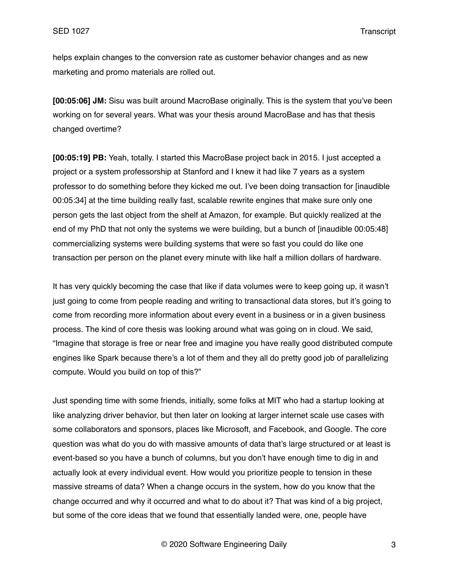helps explain changes to the conversion rate as customer behavior changes and as new marketing and promo materials are rolled out.

**[00:05:06] JM:** Sisu was built around MacroBase originally. This is the system that you've been working on for several years. What was your thesis around MacroBase and has that thesis changed overtime?

**[00:05:19] PB:** Yeah, totally. I started this MacroBase project back in 2015. I just accepted a project or a system professorship at Stanford and I knew it had like 7 years as a system professor to do something before they kicked me out. I've been doing transaction for [inaudible 00:05:34] at the time building really fast, scalable rewrite engines that make sure only one person gets the last object from the shelf at Amazon, for example. But quickly realized at the end of my PhD that not only the systems we were building, but a bunch of [inaudible 00:05:48] commercializing systems were building systems that were so fast you could do like one transaction per person on the planet every minute with like half a million dollars of hardware.

It has very quickly becoming the case that like if data volumes were to keep going up, it wasn't just going to come from people reading and writing to transactional data stores, but it's going to come from recording more information about every event in a business or in a given business process. The kind of core thesis was looking around what was going on in cloud. We said, "Imagine that storage is free or near free and imagine you have really good distributed compute engines like Spark because there's a lot of them and they all do pretty good job of parallelizing compute. Would you build on top of this?"

Just spending time with some friends, initially, some folks at MIT who had a startup looking at like analyzing driver behavior, but then later on looking at larger internet scale use cases with some collaborators and sponsors, places like Microsoft, and Facebook, and Google. The core question was what do you do with massive amounts of data that's large structured or at least is event-based so you have a bunch of columns, but you don't have enough time to dig in and actually look at every individual event. How would you prioritize people to tension in these massive streams of data? When a change occurs in the system, how do you know that the change occurred and why it occurred and what to do about it? That was kind of a big project, but some of the core ideas that we found that essentially landed were, one, people have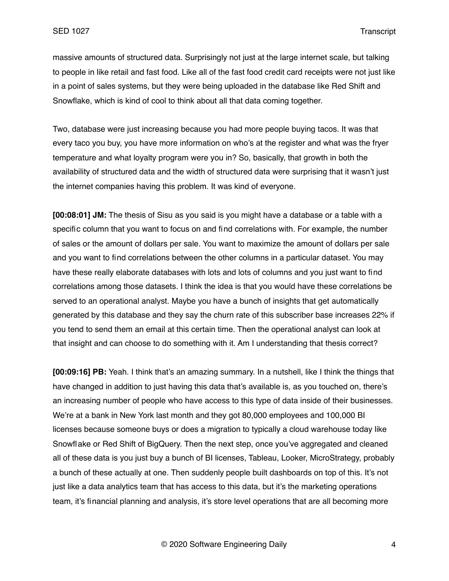massive amounts of structured data. Surprisingly not just at the large internet scale, but talking to people in like retail and fast food. Like all of the fast food credit card receipts were not just like in a point of sales systems, but they were being uploaded in the database like Red Shift and Snowflake, which is kind of cool to think about all that data coming together.

Two, database were just increasing because you had more people buying tacos. It was that every taco you buy, you have more information on who's at the register and what was the fryer temperature and what loyalty program were you in? So, basically, that growth in both the availability of structured data and the width of structured data were surprising that it wasn't just the internet companies having this problem. It was kind of everyone.

**[00:08:01] JM:** The thesis of Sisu as you said is you might have a database or a table with a specific column that you want to focus on and find correlations with. For example, the number of sales or the amount of dollars per sale. You want to maximize the amount of dollars per sale and you want to find correlations between the other columns in a particular dataset. You may have these really elaborate databases with lots and lots of columns and you just want to find correlations among those datasets. I think the idea is that you would have these correlations be served to an operational analyst. Maybe you have a bunch of insights that get automatically generated by this database and they say the churn rate of this subscriber base increases 22% if you tend to send them an email at this certain time. Then the operational analyst can look at that insight and can choose to do something with it. Am I understanding that thesis correct?

**[00:09:16] PB:** Yeah. I think that's an amazing summary. In a nutshell, like I think the things that have changed in addition to just having this data that's available is, as you touched on, there's an increasing number of people who have access to this type of data inside of their businesses. We're at a bank in New York last month and they got 80,000 employees and 100,000 BI licenses because someone buys or does a migration to typically a cloud warehouse today like Snowflake or Red Shift of BigQuery. Then the next step, once you've aggregated and cleaned all of these data is you just buy a bunch of BI licenses, Tableau, Looker, MicroStrategy, probably a bunch of these actually at one. Then suddenly people built dashboards on top of this. It's not just like a data analytics team that has access to this data, but it's the marketing operations team, it's financial planning and analysis, it's store level operations that are all becoming more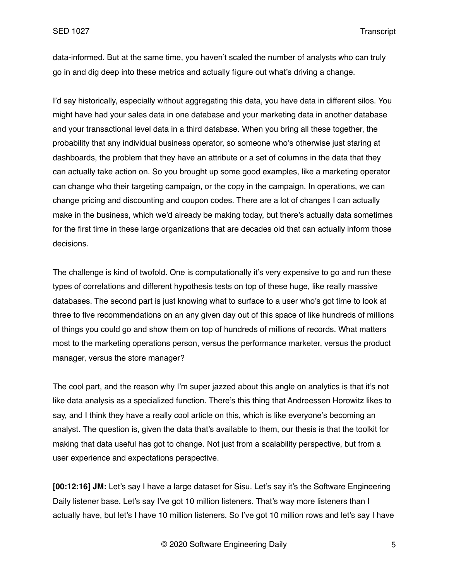data-informed. But at the same time, you haven't scaled the number of analysts who can truly go in and dig deep into these metrics and actually figure out what's driving a change.

I'd say historically, especially without aggregating this data, you have data in different silos. You might have had your sales data in one database and your marketing data in another database and your transactional level data in a third database. When you bring all these together, the probability that any individual business operator, so someone who's otherwise just staring at dashboards, the problem that they have an attribute or a set of columns in the data that they can actually take action on. So you brought up some good examples, like a marketing operator can change who their targeting campaign, or the copy in the campaign. In operations, we can change pricing and discounting and coupon codes. There are a lot of changes I can actually make in the business, which we'd already be making today, but there's actually data sometimes for the first time in these large organizations that are decades old that can actually inform those decisions.

The challenge is kind of twofold. One is computationally it's very expensive to go and run these types of correlations and different hypothesis tests on top of these huge, like really massive databases. The second part is just knowing what to surface to a user who's got time to look at three to five recommendations on an any given day out of this space of like hundreds of millions of things you could go and show them on top of hundreds of millions of records. What matters most to the marketing operations person, versus the performance marketer, versus the product manager, versus the store manager?

The cool part, and the reason why I'm super jazzed about this angle on analytics is that it's not like data analysis as a specialized function. There's this thing that Andreessen Horowitz likes to say, and I think they have a really cool article on this, which is like everyone's becoming an analyst. The question is, given the data that's available to them, our thesis is that the toolkit for making that data useful has got to change. Not just from a scalability perspective, but from a user experience and expectations perspective.

**[00:12:16] JM:** Let's say I have a large dataset for Sisu. Let's say it's the Software Engineering Daily listener base. Let's say I've got 10 million listeners. That's way more listeners than I actually have, but let's I have 10 million listeners. So I've got 10 million rows and let's say I have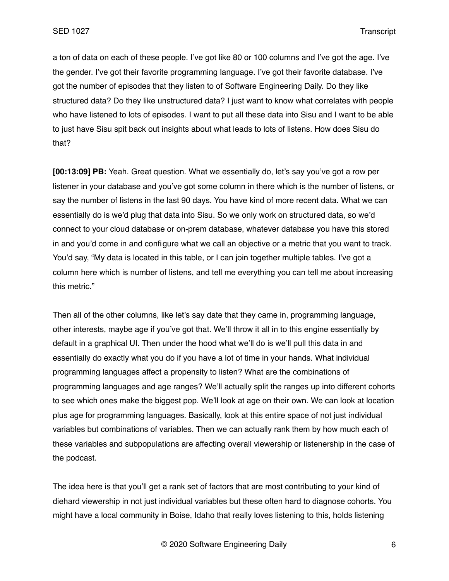a ton of data on each of these people. I've got like 80 or 100 columns and I've got the age. I've the gender. I've got their favorite programming language. I've got their favorite database. I've got the number of episodes that they listen to of Software Engineering Daily. Do they like structured data? Do they like unstructured data? I just want to know what correlates with people who have listened to lots of episodes. I want to put all these data into Sisu and I want to be able to just have Sisu spit back out insights about what leads to lots of listens. How does Sisu do that?

**[00:13:09] PB:** Yeah. Great question. What we essentially do, let's say you've got a row per listener in your database and you've got some column in there which is the number of listens, or say the number of listens in the last 90 days. You have kind of more recent data. What we can essentially do is we'd plug that data into Sisu. So we only work on structured data, so we'd connect to your cloud database or on-prem database, whatever database you have this stored in and you'd come in and configure what we call an objective or a metric that you want to track. You'd say, "My data is located in this table, or I can join together multiple tables. I've got a column here which is number of listens, and tell me everything you can tell me about increasing this metric."

Then all of the other columns, like let's say date that they came in, programming language, other interests, maybe age if you've got that. We'll throw it all in to this engine essentially by default in a graphical UI. Then under the hood what we'll do is we'll pull this data in and essentially do exactly what you do if you have a lot of time in your hands. What individual programming languages affect a propensity to listen? What are the combinations of programming languages and age ranges? We'll actually split the ranges up into different cohorts to see which ones make the biggest pop. We'll look at age on their own. We can look at location plus age for programming languages. Basically, look at this entire space of not just individual variables but combinations of variables. Then we can actually rank them by how much each of these variables and subpopulations are affecting overall viewership or listenership in the case of the podcast.

The idea here is that you'll get a rank set of factors that are most contributing to your kind of diehard viewership in not just individual variables but these often hard to diagnose cohorts. You might have a local community in Boise, Idaho that really loves listening to this, holds listening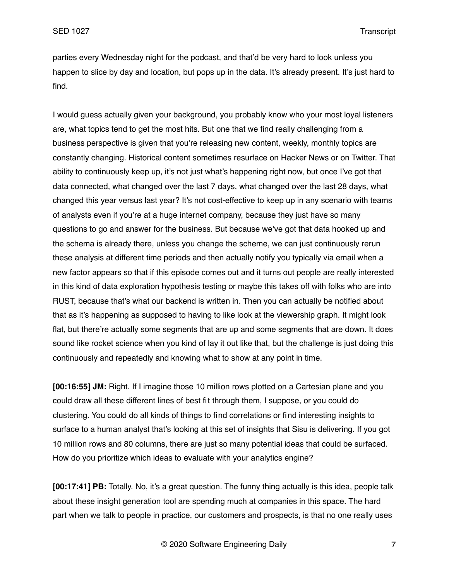parties every Wednesday night for the podcast, and that'd be very hard to look unless you happen to slice by day and location, but pops up in the data. It's already present. It's just hard to find.

I would guess actually given your background, you probably know who your most loyal listeners are, what topics tend to get the most hits. But one that we find really challenging from a business perspective is given that you're releasing new content, weekly, monthly topics are constantly changing. Historical content sometimes resurface on Hacker News or on Twitter. That ability to continuously keep up, it's not just what's happening right now, but once I've got that data connected, what changed over the last 7 days, what changed over the last 28 days, what changed this year versus last year? It's not cost-effective to keep up in any scenario with teams of analysts even if you're at a huge internet company, because they just have so many questions to go and answer for the business. But because we've got that data hooked up and the schema is already there, unless you change the scheme, we can just continuously rerun these analysis at different time periods and then actually notify you typically via email when a new factor appears so that if this episode comes out and it turns out people are really interested in this kind of data exploration hypothesis testing or maybe this takes off with folks who are into RUST, because that's what our backend is written in. Then you can actually be notified about that as it's happening as supposed to having to like look at the viewership graph. It might look flat, but there're actually some segments that are up and some segments that are down. It does sound like rocket science when you kind of lay it out like that, but the challenge is just doing this continuously and repeatedly and knowing what to show at any point in time.

**[00:16:55] JM:** Right. If I imagine those 10 million rows plotted on a Cartesian plane and you could draw all these different lines of best fit through them, I suppose, or you could do clustering. You could do all kinds of things to find correlations or find interesting insights to surface to a human analyst that's looking at this set of insights that Sisu is delivering. If you got 10 million rows and 80 columns, there are just so many potential ideas that could be surfaced. How do you prioritize which ideas to evaluate with your analytics engine?

**[00:17:41] PB:** Totally. No, it's a great question. The funny thing actually is this idea, people talk about these insight generation tool are spending much at companies in this space. The hard part when we talk to people in practice, our customers and prospects, is that no one really uses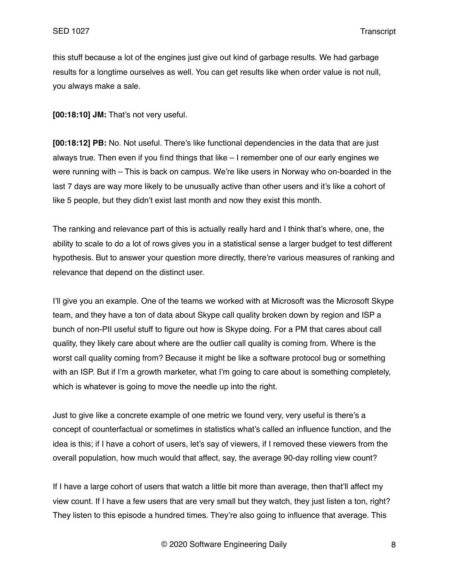this stuff because a lot of the engines just give out kind of garbage results. We had garbage results for a longtime ourselves as well. You can get results like when order value is not null, you always make a sale.

**[00:18:10] JM:** That's not very useful.

**[00:18:12] PB:** No. Not useful. There's like functional dependencies in the data that are just always true. Then even if you find things that like – I remember one of our early engines we were running with – This is back on campus. We're like users in Norway who on-boarded in the last 7 days are way more likely to be unusually active than other users and it's like a cohort of like 5 people, but they didn't exist last month and now they exist this month.

The ranking and relevance part of this is actually really hard and I think that's where, one, the ability to scale to do a lot of rows gives you in a statistical sense a larger budget to test different hypothesis. But to answer your question more directly, there're various measures of ranking and relevance that depend on the distinct user.

I'll give you an example. One of the teams we worked with at Microsoft was the Microsoft Skype team, and they have a ton of data about Skype call quality broken down by region and ISP a bunch of non-PII useful stuff to figure out how is Skype doing. For a PM that cares about call quality, they likely care about where are the outlier call quality is coming from. Where is the worst call quality coming from? Because it might be like a software protocol bug or something with an ISP. But if I'm a growth marketer, what I'm going to care about is something completely, which is whatever is going to move the needle up into the right.

Just to give like a concrete example of one metric we found very, very useful is there's a concept of counterfactual or sometimes in statistics what's called an influence function, and the idea is this; if I have a cohort of users, let's say of viewers, if I removed these viewers from the overall population, how much would that affect, say, the average 90-day rolling view count?

If I have a large cohort of users that watch a little bit more than average, then that'll affect my view count. If I have a few users that are very small but they watch, they just listen a ton, right? They listen to this episode a hundred times. They're also going to influence that average. This

© 2020 Software Engineering Daily 8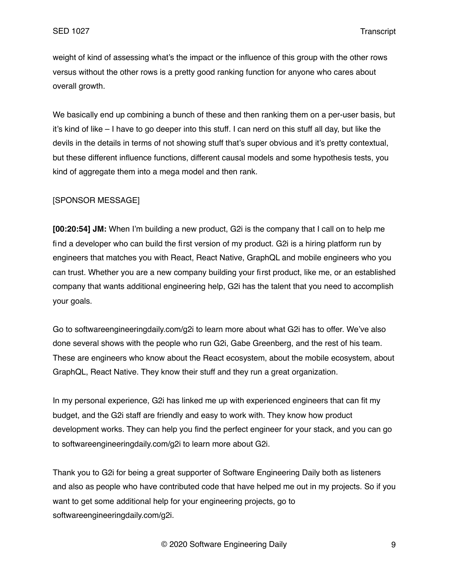weight of kind of assessing what's the impact or the influence of this group with the other rows versus without the other rows is a pretty good ranking function for anyone who cares about overall growth.

We basically end up combining a bunch of these and then ranking them on a per-user basis, but it's kind of like – I have to go deeper into this stuff. I can nerd on this stuff all day, but like the devils in the details in terms of not showing stuff that's super obvious and it's pretty contextual, but these different influence functions, different causal models and some hypothesis tests, you kind of aggregate them into a mega model and then rank.

### [SPONSOR MESSAGE]

**[00:20:54] JM:** When I'm building a new product, G2i is the company that I call on to help me find a developer who can build the first version of my product. G2i is a hiring platform run by engineers that matches you with React, React Native, GraphQL and mobile engineers who you can trust. Whether you are a new company building your first product, like me, or an established company that wants additional engineering help, G2i has the talent that you need to accomplish your goals.

Go to softwareengineeringdaily.com/g2i to learn more about what G2i has to offer. We've also done several shows with the people who run G2i, Gabe Greenberg, and the rest of his team. These are engineers who know about the React ecosystem, about the mobile ecosystem, about GraphQL, React Native. They know their stuff and they run a great organization.

In my personal experience, G2i has linked me up with experienced engineers that can fit my budget, and the G2i staff are friendly and easy to work with. They know how product development works. They can help you find the perfect engineer for your stack, and you can go to softwareengineeringdaily.com/g2i to learn more about G2i.

Thank you to G2i for being a great supporter of Software Engineering Daily both as listeners and also as people who have contributed code that have helped me out in my projects. So if you want to get some additional help for your engineering projects, go to softwareengineeringdaily.com/g2i.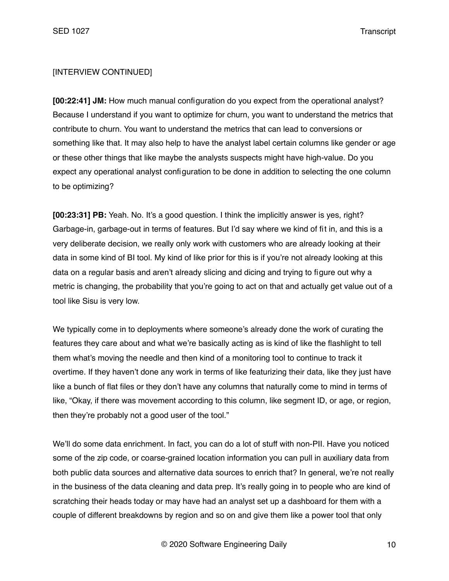### [INTERVIEW CONTINUED]

**[00:22:41] JM:** How much manual configuration do you expect from the operational analyst? Because I understand if you want to optimize for churn, you want to understand the metrics that contribute to churn. You want to understand the metrics that can lead to conversions or something like that. It may also help to have the analyst label certain columns like gender or age or these other things that like maybe the analysts suspects might have high-value. Do you expect any operational analyst configuration to be done in addition to selecting the one column to be optimizing?

**[00:23:31] PB:** Yeah. No. It's a good question. I think the implicitly answer is yes, right? Garbage-in, garbage-out in terms of features. But I'd say where we kind of fit in, and this is a very deliberate decision, we really only work with customers who are already looking at their data in some kind of BI tool. My kind of like prior for this is if you're not already looking at this data on a regular basis and aren't already slicing and dicing and trying to figure out why a metric is changing, the probability that you're going to act on that and actually get value out of a tool like Sisu is very low.

We typically come in to deployments where someone's already done the work of curating the features they care about and what we're basically acting as is kind of like the flashlight to tell them what's moving the needle and then kind of a monitoring tool to continue to track it overtime. If they haven't done any work in terms of like featurizing their data, like they just have like a bunch of flat files or they don't have any columns that naturally come to mind in terms of like, "Okay, if there was movement according to this column, like segment ID, or age, or region, then they're probably not a good user of the tool."

We'll do some data enrichment. In fact, you can do a lot of stuff with non-PII. Have you noticed some of the zip code, or coarse-grained location information you can pull in auxiliary data from both public data sources and alternative data sources to enrich that? In general, we're not really in the business of the data cleaning and data prep. It's really going in to people who are kind of scratching their heads today or may have had an analyst set up a dashboard for them with a couple of different breakdowns by region and so on and give them like a power tool that only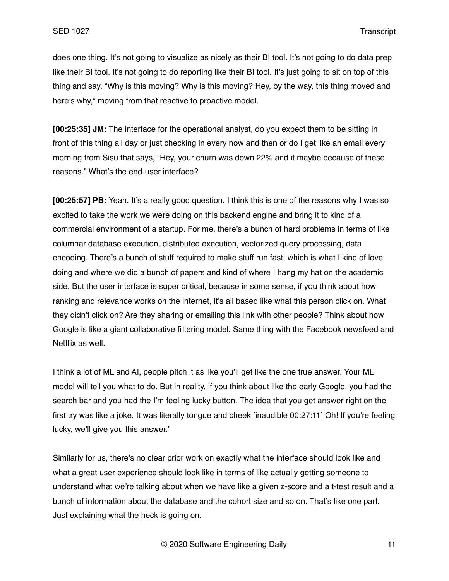does one thing. It's not going to visualize as nicely as their BI tool. It's not going to do data prep like their BI tool. It's not going to do reporting like their BI tool. It's just going to sit on top of this thing and say, "Why is this moving? Why is this moving? Hey, by the way, this thing moved and here's why," moving from that reactive to proactive model.

**[00:25:35] JM:** The interface for the operational analyst, do you expect them to be sitting in front of this thing all day or just checking in every now and then or do I get like an email every morning from Sisu that says, "Hey, your churn was down 22% and it maybe because of these reasons." What's the end-user interface?

**[00:25:57] PB:** Yeah. It's a really good question. I think this is one of the reasons why I was so excited to take the work we were doing on this backend engine and bring it to kind of a commercial environment of a startup. For me, there's a bunch of hard problems in terms of like columnar database execution, distributed execution, vectorized query processing, data encoding. There's a bunch of stuff required to make stuff run fast, which is what I kind of love doing and where we did a bunch of papers and kind of where I hang my hat on the academic side. But the user interface is super critical, because in some sense, if you think about how ranking and relevance works on the internet, it's all based like what this person click on. What they didn't click on? Are they sharing or emailing this link with other people? Think about how Google is like a giant collaborative filtering model. Same thing with the Facebook newsfeed and Netflix as well.

I think a lot of ML and AI, people pitch it as like you'll get like the one true answer. Your ML model will tell you what to do. But in reality, if you think about like the early Google, you had the search bar and you had the I'm feeling lucky button. The idea that you get answer right on the first try was like a joke. It was literally tongue and cheek [inaudible 00:27:11] Oh! If you're feeling lucky, we'll give you this answer."

Similarly for us, there's no clear prior work on exactly what the interface should look like and what a great user experience should look like in terms of like actually getting someone to understand what we're talking about when we have like a given z-score and a t-test result and a bunch of information about the database and the cohort size and so on. That's like one part. Just explaining what the heck is going on.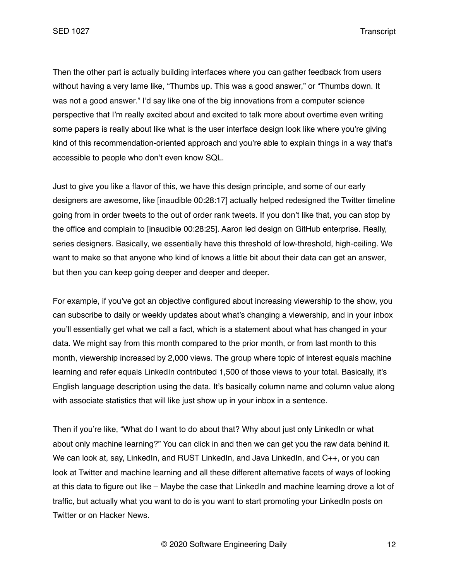SED 1027 Transcript

Then the other part is actually building interfaces where you can gather feedback from users without having a very lame like, "Thumbs up. This was a good answer," or "Thumbs down. It was not a good answer." I'd say like one of the big innovations from a computer science perspective that I'm really excited about and excited to talk more about overtime even writing some papers is really about like what is the user interface design look like where you're giving kind of this recommendation-oriented approach and you're able to explain things in a way that's accessible to people who don't even know SQL.

Just to give you like a flavor of this, we have this design principle, and some of our early designers are awesome, like [inaudible 00:28:17] actually helped redesigned the Twitter timeline going from in order tweets to the out of order rank tweets. If you don't like that, you can stop by the office and complain to [inaudible 00:28:25]. Aaron led design on GitHub enterprise. Really, series designers. Basically, we essentially have this threshold of low-threshold, high-ceiling. We want to make so that anyone who kind of knows a little bit about their data can get an answer, but then you can keep going deeper and deeper and deeper.

For example, if you've got an objective configured about increasing viewership to the show, you can subscribe to daily or weekly updates about what's changing a viewership, and in your inbox you'll essentially get what we call a fact, which is a statement about what has changed in your data. We might say from this month compared to the prior month, or from last month to this month, viewership increased by 2,000 views. The group where topic of interest equals machine learning and refer equals LinkedIn contributed 1,500 of those views to your total. Basically, it's English language description using the data. It's basically column name and column value along with associate statistics that will like just show up in your inbox in a sentence.

Then if you're like, "What do I want to do about that? Why about just only LinkedIn or what about only machine learning?" You can click in and then we can get you the raw data behind it. We can look at, say, LinkedIn, and RUST LinkedIn, and Java LinkedIn, and C++, or you can look at Twitter and machine learning and all these different alternative facets of ways of looking at this data to figure out like – Maybe the case that LinkedIn and machine learning drove a lot of traffic, but actually what you want to do is you want to start promoting your LinkedIn posts on Twitter or on Hacker News.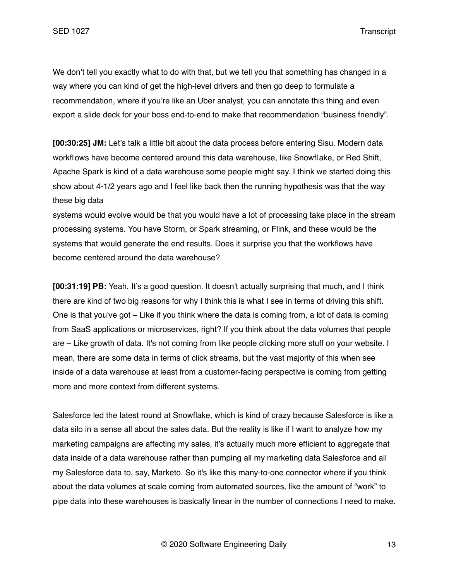We don't tell you exactly what to do with that, but we tell you that something has changed in a way where you can kind of get the high-level drivers and then go deep to formulate a recommendation, where if you're like an Uber analyst, you can annotate this thing and even export a slide deck for your boss end-to-end to make that recommendation "business friendly".

**[00:30:25] JM:** Let's talk a little bit about the data process before entering Sisu. Modern data workflows have become centered around this data warehouse, like Snowflake, or Red Shift, Apache Spark is kind of a data warehouse some people might say. I think we started doing this show about 4-1/2 years ago and I feel like back then the running hypothesis was that the way these big data

systems would evolve would be that you would have a lot of processing take place in the stream processing systems. You have Storm, or Spark streaming, or Flink, and these would be the systems that would generate the end results. Does it surprise you that the workflows have become centered around the data warehouse?

**[00:31:19] PB:** Yeah. It's a good question. It doesn't actually surprising that much, and I think there are kind of two big reasons for why I think this is what I see in terms of driving this shift. One is that you've got – Like if you think where the data is coming from, a lot of data is coming from SaaS applications or microservices, right? If you think about the data volumes that people are – Like growth of data. It's not coming from like people clicking more stuff on your website. I mean, there are some data in terms of click streams, but the vast majority of this when see inside of a data warehouse at least from a customer-facing perspective is coming from getting more and more context from different systems.

Salesforce led the latest round at Snowflake, which is kind of crazy because Salesforce is like a data silo in a sense all about the sales data. But the reality is like if I want to analyze how my marketing campaigns are affecting my sales, it's actually much more efficient to aggregate that data inside of a data warehouse rather than pumping all my marketing data Salesforce and all my Salesforce data to, say, Marketo. So it's like this many-to-one connector where if you think about the data volumes at scale coming from automated sources, like the amount of "work" to pipe data into these warehouses is basically linear in the number of connections I need to make.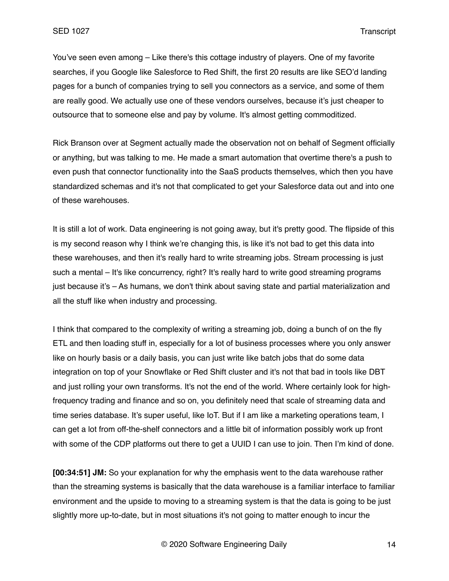You've seen even among – Like there's this cottage industry of players. One of my favorite searches, if you Google like Salesforce to Red Shift, the first 20 results are like SEO'd landing pages for a bunch of companies trying to sell you connectors as a service, and some of them are really good. We actually use one of these vendors ourselves, because it's just cheaper to outsource that to someone else and pay by volume. It's almost getting commoditized.

Rick Branson over at Segment actually made the observation not on behalf of Segment officially or anything, but was talking to me. He made a smart automation that overtime there's a push to even push that connector functionality into the SaaS products themselves, which then you have standardized schemas and it's not that complicated to get your Salesforce data out and into one of these warehouses.

It is still a lot of work. Data engineering is not going away, but it's pretty good. The flipside of this is my second reason why I think we're changing this, is like it's not bad to get this data into these warehouses, and then it's really hard to write streaming jobs. Stream processing is just such a mental – It's like concurrency, right? It's really hard to write good streaming programs just because it's – As humans, we don't think about saving state and partial materialization and all the stuff like when industry and processing.

I think that compared to the complexity of writing a streaming job, doing a bunch of on the fly ETL and then loading stuff in, especially for a lot of business processes where you only answer like on hourly basis or a daily basis, you can just write like batch jobs that do some data integration on top of your Snowflake or Red Shift cluster and it's not that bad in tools like DBT and just rolling your own transforms. It's not the end of the world. Where certainly look for highfrequency trading and finance and so on, you definitely need that scale of streaming data and time series database. It's super useful, like IoT. But if I am like a marketing operations team, I can get a lot from off-the-shelf connectors and a little bit of information possibly work up front with some of the CDP platforms out there to get a UUID I can use to join. Then I'm kind of done.

**[00:34:51] JM:** So your explanation for why the emphasis went to the data warehouse rather than the streaming systems is basically that the data warehouse is a familiar interface to familiar environment and the upside to moving to a streaming system is that the data is going to be just slightly more up-to-date, but in most situations it's not going to matter enough to incur the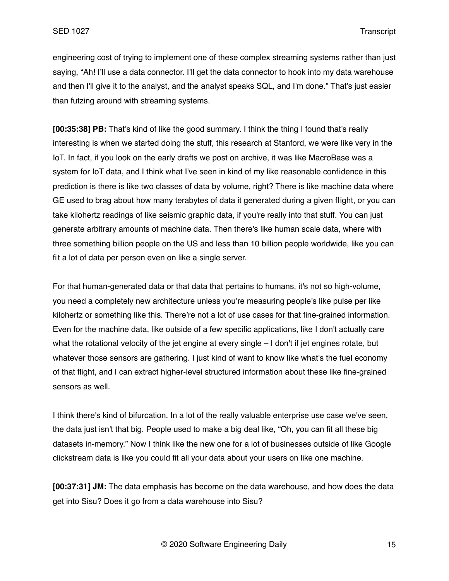engineering cost of trying to implement one of these complex streaming systems rather than just saying, "Ah! I'll use a data connector. I'll get the data connector to hook into my data warehouse and then I'll give it to the analyst, and the analyst speaks SQL, and I'm done." That's just easier than futzing around with streaming systems.

**[00:35:38] PB:** That's kind of like the good summary. I think the thing I found that's really interesting is when we started doing the stuff, this research at Stanford, we were like very in the IoT. In fact, if you look on the early drafts we post on archive, it was like MacroBase was a system for IoT data, and I think what I've seen in kind of my like reasonable confidence in this prediction is there is like two classes of data by volume, right? There is like machine data where GE used to brag about how many terabytes of data it generated during a given flight, or you can take kilohertz readings of like seismic graphic data, if you're really into that stuff. You can just generate arbitrary amounts of machine data. Then there's like human scale data, where with three something billion people on the US and less than 10 billion people worldwide, like you can fit a lot of data per person even on like a single server.

For that human-generated data or that data that pertains to humans, it's not so high-volume, you need a completely new architecture unless you're measuring people's like pulse per like kilohertz or something like this. There're not a lot of use cases for that fine-grained information. Even for the machine data, like outside of a few specific applications, like I don't actually care what the rotational velocity of the jet engine at every single – I don't if jet engines rotate, but whatever those sensors are gathering. I just kind of want to know like what's the fuel economy of that flight, and I can extract higher-level structured information about these like fine-grained sensors as well.

I think there's kind of bifurcation. In a lot of the really valuable enterprise use case we've seen, the data just isn't that big. People used to make a big deal like, "Oh, you can fit all these big datasets in-memory." Now I think like the new one for a lot of businesses outside of like Google clickstream data is like you could fit all your data about your users on like one machine.

**[00:37:31] JM:** The data emphasis has become on the data warehouse, and how does the data get into Sisu? Does it go from a data warehouse into Sisu?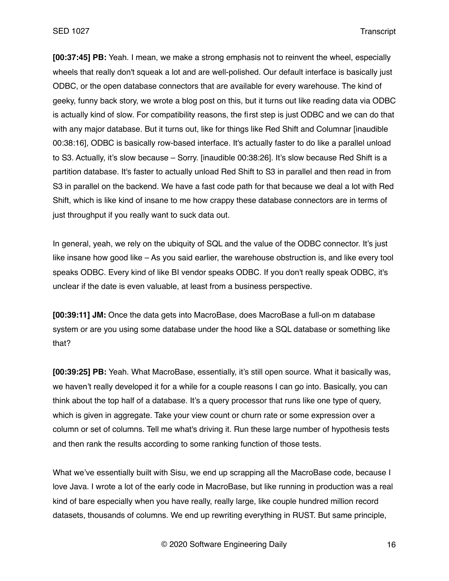**[00:37:45] PB:** Yeah. I mean, we make a strong emphasis not to reinvent the wheel, especially wheels that really don't squeak a lot and are well-polished. Our default interface is basically just ODBC, or the open database connectors that are available for every warehouse. The kind of geeky, funny back story, we wrote a blog post on this, but it turns out like reading data via ODBC is actually kind of slow. For compatibility reasons, the first step is just ODBC and we can do that with any major database. But it turns out, like for things like Red Shift and Columnar [inaudible 00:38:16], ODBC is basically row-based interface. It's actually faster to do like a parallel unload to S3. Actually, it's slow because – Sorry. [inaudible 00:38:26]. It's slow because Red Shift is a partition database. It's faster to actually unload Red Shift to S3 in parallel and then read in from S3 in parallel on the backend. We have a fast code path for that because we deal a lot with Red Shift, which is like kind of insane to me how crappy these database connectors are in terms of just throughput if you really want to suck data out.

In general, yeah, we rely on the ubiquity of SQL and the value of the ODBC connector. It's just like insane how good like – As you said earlier, the warehouse obstruction is, and like every tool speaks ODBC. Every kind of like BI vendor speaks ODBC. If you don't really speak ODBC, it's unclear if the date is even valuable, at least from a business perspective.

**[00:39:11] JM:** Once the data gets into MacroBase, does MacroBase a full-on m database system or are you using some database under the hood like a SQL database or something like that?

**[00:39:25] PB:** Yeah. What MacroBase, essentially, it's still open source. What it basically was, we haven't really developed it for a while for a couple reasons I can go into. Basically, you can think about the top half of a database. It's a query processor that runs like one type of query, which is given in aggregate. Take your view count or churn rate or some expression over a column or set of columns. Tell me what's driving it. Run these large number of hypothesis tests and then rank the results according to some ranking function of those tests.

What we've essentially built with Sisu, we end up scrapping all the MacroBase code, because I love Java. I wrote a lot of the early code in MacroBase, but like running in production was a real kind of bare especially when you have really, really large, like couple hundred million record datasets, thousands of columns. We end up rewriting everything in RUST. But same principle,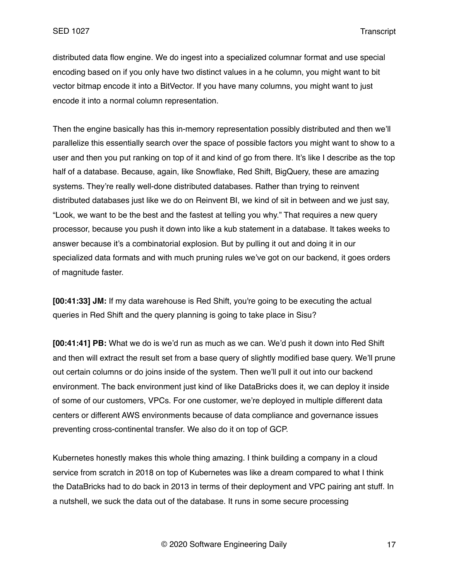distributed data flow engine. We do ingest into a specialized columnar format and use special encoding based on if you only have two distinct values in a he column, you might want to bit vector bitmap encode it into a BitVector. If you have many columns, you might want to just encode it into a normal column representation.

Then the engine basically has this in-memory representation possibly distributed and then we'll parallelize this essentially search over the space of possible factors you might want to show to a user and then you put ranking on top of it and kind of go from there. It's like I describe as the top half of a database. Because, again, like Snowflake, Red Shift, BigQuery, these are amazing systems. They're really well-done distributed databases. Rather than trying to reinvent distributed databases just like we do on Reinvent BI, we kind of sit in between and we just say, "Look, we want to be the best and the fastest at telling you why." That requires a new query processor, because you push it down into like a kub statement in a database. It takes weeks to answer because it's a combinatorial explosion. But by pulling it out and doing it in our specialized data formats and with much pruning rules we've got on our backend, it goes orders of magnitude faster.

**[00:41:33] JM:** If my data warehouse is Red Shift, you're going to be executing the actual queries in Red Shift and the query planning is going to take place in Sisu?

**[00:41:41] PB:** What we do is we'd run as much as we can. We'd push it down into Red Shift and then will extract the result set from a base query of slightly modified base query. We'll prune out certain columns or do joins inside of the system. Then we'll pull it out into our backend environment. The back environment just kind of like DataBricks does it, we can deploy it inside of some of our customers, VPCs. For one customer, we're deployed in multiple different data centers or different AWS environments because of data compliance and governance issues preventing cross-continental transfer. We also do it on top of GCP.

Kubernetes honestly makes this whole thing amazing. I think building a company in a cloud service from scratch in 2018 on top of Kubernetes was like a dream compared to what I think the DataBricks had to do back in 2013 in terms of their deployment and VPC pairing ant stuff. In a nutshell, we suck the data out of the database. It runs in some secure processing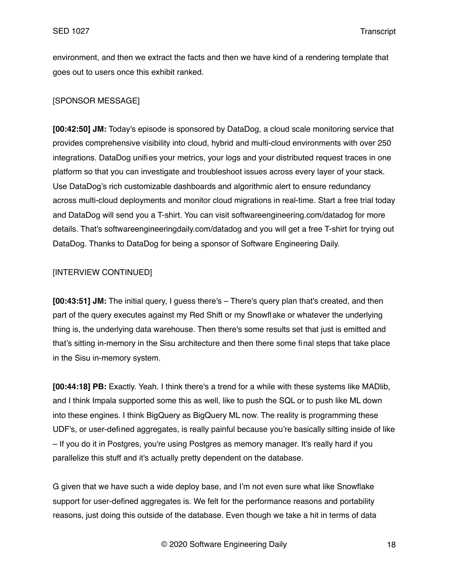environment, and then we extract the facts and then we have kind of a rendering template that goes out to users once this exhibit ranked.

# [SPONSOR MESSAGE]

**[00:42:50] JM:** Today's episode is sponsored by DataDog, a cloud scale monitoring service that provides comprehensive visibility into cloud, hybrid and multi-cloud environments with over 250 integrations. DataDog unifies your metrics, your logs and your distributed request traces in one platform so that you can investigate and troubleshoot issues across every layer of your stack. Use DataDog's rich customizable dashboards and algorithmic alert to ensure redundancy across multi-cloud deployments and monitor cloud migrations in real-time. Start a free trial today and DataDog will send you a T-shirt. You can visit softwareengineering.com/datadog for more details. That's softwareengineeringdaily.com/datadog and you will get a free T-shirt for trying out DataDog. Thanks to DataDog for being a sponsor of Software Engineering Daily.

# [INTERVIEW CONTINUED]

**[00:43:51] JM:** The initial query, I guess there's – There's query plan that's created, and then part of the query executes against my Red Shift or my Snowflake or whatever the underlying thing is, the underlying data warehouse. Then there's some results set that just is emitted and that's sitting in-memory in the Sisu architecture and then there some final steps that take place in the Sisu in-memory system.

**[00:44:18] PB:** Exactly. Yeah. I think there's a trend for a while with these systems like MADlib, and I think Impala supported some this as well, like to push the SQL or to push like ML down into these engines. I think BigQuery as BigQuery ML now. The reality is programming these UDF's, or user-defined aggregates, is really painful because you're basically sitting inside of like – If you do it in Postgres, you're using Postgres as memory manager. It's really hard if you parallelize this stuff and it's actually pretty dependent on the database.

G given that we have such a wide deploy base, and I'm not even sure what like Snowflake support for user-defined aggregates is. We felt for the performance reasons and portability reasons, just doing this outside of the database. Even though we take a hit in terms of data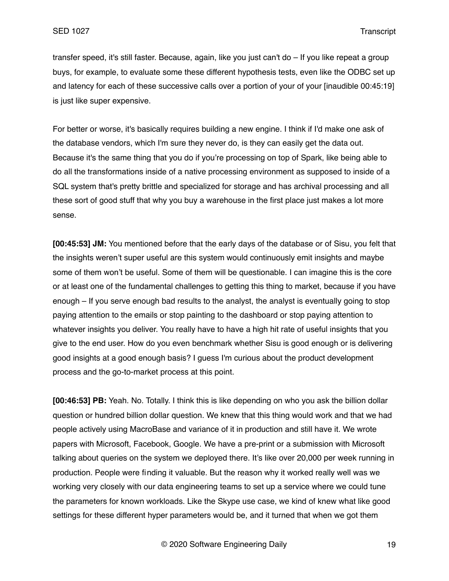transfer speed, it's still faster. Because, again, like you just can't do – If you like repeat a group buys, for example, to evaluate some these different hypothesis tests, even like the ODBC set up and latency for each of these successive calls over a portion of your of your [inaudible 00:45:19] is just like super expensive.

For better or worse, it's basically requires building a new engine. I think if I'd make one ask of the database vendors, which I'm sure they never do, is they can easily get the data out. Because it's the same thing that you do if you're processing on top of Spark, like being able to do all the transformations inside of a native processing environment as supposed to inside of a SQL system that's pretty brittle and specialized for storage and has archival processing and all these sort of good stuff that why you buy a warehouse in the first place just makes a lot more sense.

**[00:45:53] JM:** You mentioned before that the early days of the database or of Sisu, you felt that the insights weren't super useful are this system would continuously emit insights and maybe some of them won't be useful. Some of them will be questionable. I can imagine this is the core or at least one of the fundamental challenges to getting this thing to market, because if you have enough – If you serve enough bad results to the analyst, the analyst is eventually going to stop paying attention to the emails or stop painting to the dashboard or stop paying attention to whatever insights you deliver. You really have to have a high hit rate of useful insights that you give to the end user. How do you even benchmark whether Sisu is good enough or is delivering good insights at a good enough basis? I guess I'm curious about the product development process and the go-to-market process at this point.

**[00:46:53] PB:** Yeah. No. Totally. I think this is like depending on who you ask the billion dollar question or hundred billion dollar question. We knew that this thing would work and that we had people actively using MacroBase and variance of it in production and still have it. We wrote papers with Microsoft, Facebook, Google. We have a pre-print or a submission with Microsoft talking about queries on the system we deployed there. It's like over 20,000 per week running in production. People were finding it valuable. But the reason why it worked really well was we working very closely with our data engineering teams to set up a service where we could tune the parameters for known workloads. Like the Skype use case, we kind of knew what like good settings for these different hyper parameters would be, and it turned that when we got them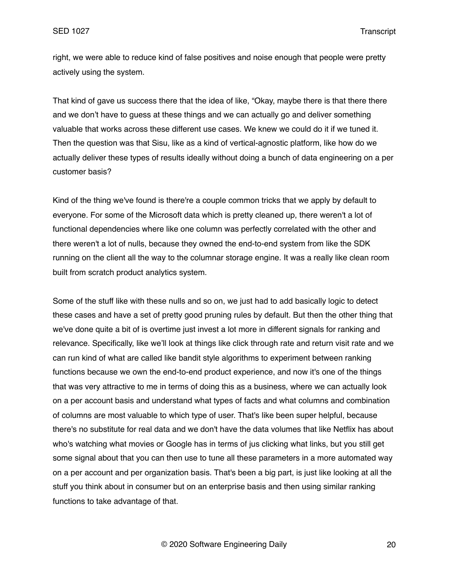right, we were able to reduce kind of false positives and noise enough that people were pretty actively using the system.

That kind of gave us success there that the idea of like, "Okay, maybe there is that there there and we don't have to guess at these things and we can actually go and deliver something valuable that works across these different use cases. We knew we could do it if we tuned it. Then the question was that Sisu, like as a kind of vertical-agnostic platform, like how do we actually deliver these types of results ideally without doing a bunch of data engineering on a per customer basis?

Kind of the thing we've found is there're a couple common tricks that we apply by default to everyone. For some of the Microsoft data which is pretty cleaned up, there weren't a lot of functional dependencies where like one column was perfectly correlated with the other and there weren't a lot of nulls, because they owned the end-to-end system from like the SDK running on the client all the way to the columnar storage engine. It was a really like clean room built from scratch product analytics system.

Some of the stuff like with these nulls and so on, we just had to add basically logic to detect these cases and have a set of pretty good pruning rules by default. But then the other thing that we've done quite a bit of is overtime just invest a lot more in different signals for ranking and relevance. Specifically, like we'll look at things like click through rate and return visit rate and we can run kind of what are called like bandit style algorithms to experiment between ranking functions because we own the end-to-end product experience, and now it's one of the things that was very attractive to me in terms of doing this as a business, where we can actually look on a per account basis and understand what types of facts and what columns and combination of columns are most valuable to which type of user. That's like been super helpful, because there's no substitute for real data and we don't have the data volumes that like Netflix has about who's watching what movies or Google has in terms of jus clicking what links, but you still get some signal about that you can then use to tune all these parameters in a more automated way on a per account and per organization basis. That's been a big part, is just like looking at all the stuff you think about in consumer but on an enterprise basis and then using similar ranking functions to take advantage of that.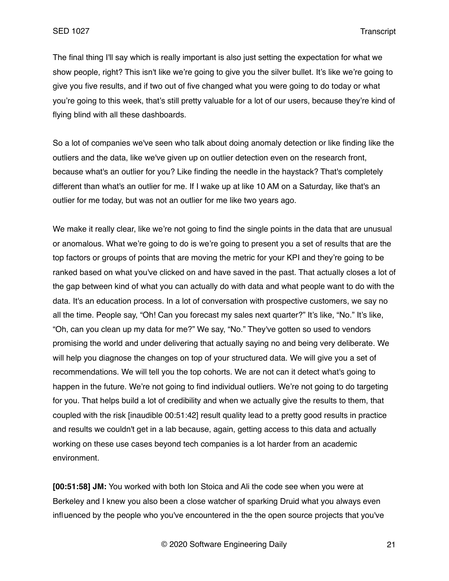The final thing I'll say which is really important is also just setting the expectation for what we show people, right? This isn't like we're going to give you the silver bullet. It's like we're going to give you five results, and if two out of five changed what you were going to do today or what you're going to this week, that's still pretty valuable for a lot of our users, because they're kind of flying blind with all these dashboards.

So a lot of companies we've seen who talk about doing anomaly detection or like finding like the outliers and the data, like we've given up on outlier detection even on the research front, because what's an outlier for you? Like finding the needle in the haystack? That's completely different than what's an outlier for me. If I wake up at like 10 AM on a Saturday, like that's an outlier for me today, but was not an outlier for me like two years ago.

We make it really clear, like we're not going to find the single points in the data that are unusual or anomalous. What we're going to do is we're going to present you a set of results that are the top factors or groups of points that are moving the metric for your KPI and they're going to be ranked based on what you've clicked on and have saved in the past. That actually closes a lot of the gap between kind of what you can actually do with data and what people want to do with the data. It's an education process. In a lot of conversation with prospective customers, we say no all the time. People say, "Oh! Can you forecast my sales next quarter?" It's like, "No." It's like, "Oh, can you clean up my data for me?" We say, "No." They've gotten so used to vendors promising the world and under delivering that actually saying no and being very deliberate. We will help you diagnose the changes on top of your structured data. We will give you a set of recommendations. We will tell you the top cohorts. We are not can it detect what's going to happen in the future. We're not going to find individual outliers. We're not going to do targeting for you. That helps build a lot of credibility and when we actually give the results to them, that coupled with the risk [inaudible 00:51:42] result quality lead to a pretty good results in practice and results we couldn't get in a lab because, again, getting access to this data and actually working on these use cases beyond tech companies is a lot harder from an academic environment.

**[00:51:58] JM:** You worked with both Ion Stoica and Ali the code see when you were at Berkeley and I knew you also been a close watcher of sparking Druid what you always even influenced by the people who you've encountered in the the open source projects that you've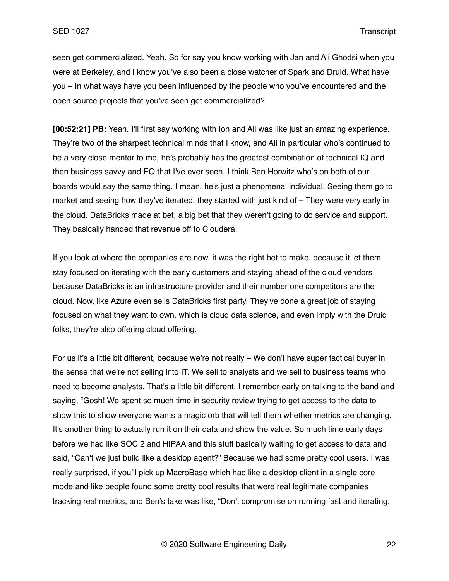seen get commercialized. Yeah. So for say you know working with Jan and Ali Ghodsi when you were at Berkeley, and I know you've also been a close watcher of Spark and Druid. What have you – In what ways have you been influenced by the people who you've encountered and the open source projects that you've seen get commercialized?

**[00:52:21] PB:** Yeah. I'll first say working with Ion and Ali was like just an amazing experience. They're two of the sharpest technical minds that I know, and Ali in particular who's continued to be a very close mentor to me, he's probably has the greatest combination of technical IQ and then business savvy and EQ that I've ever seen. I think Ben Horwitz who's on both of our boards would say the same thing. I mean, he's just a phenomenal individual. Seeing them go to market and seeing how they've iterated, they started with just kind of – They were very early in the cloud. DataBricks made at bet, a big bet that they weren't going to do service and support. They basically handed that revenue off to Cloudera.

If you look at where the companies are now, it was the right bet to make, because it let them stay focused on iterating with the early customers and staying ahead of the cloud vendors because DataBricks is an infrastructure provider and their number one competitors are the cloud. Now, like Azure even sells DataBricks first party. They've done a great job of staying focused on what they want to own, which is cloud data science, and even imply with the Druid folks, they're also offering cloud offering.

For us it's a little bit different, because we're not really – We don't have super tactical buyer in the sense that we're not selling into IT. We sell to analysts and we sell to business teams who need to become analysts. That's a little bit different. I remember early on talking to the band and saying, "Gosh! We spent so much time in security review trying to get access to the data to show this to show everyone wants a magic orb that will tell them whether metrics are changing. It's another thing to actually run it on their data and show the value. So much time early days before we had like SOC 2 and HIPAA and this stuff basically waiting to get access to data and said, "Can't we just build like a desktop agent?" Because we had some pretty cool users. I was really surprised, if you'll pick up MacroBase which had like a desktop client in a single core mode and like people found some pretty cool results that were real legitimate companies tracking real metrics, and Ben's take was like, "Don't compromise on running fast and iterating.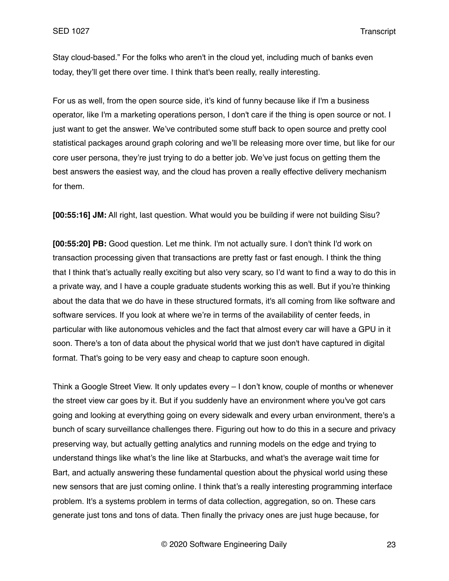Stay cloud-based." For the folks who aren't in the cloud yet, including much of banks even today, they'll get there over time. I think that's been really, really interesting.

For us as well, from the open source side, it's kind of funny because like if I'm a business operator, like I'm a marketing operations person, I don't care if the thing is open source or not. I just want to get the answer. We've contributed some stuff back to open source and pretty cool statistical packages around graph coloring and we'll be releasing more over time, but like for our core user persona, they're just trying to do a better job. We've just focus on getting them the best answers the easiest way, and the cloud has proven a really effective delivery mechanism for them.

**[00:55:16] JM:** All right, last question. What would you be building if were not building Sisu?

**[00:55:20] PB:** Good question. Let me think. I'm not actually sure. I don't think I'd work on transaction processing given that transactions are pretty fast or fast enough. I think the thing that I think that's actually really exciting but also very scary, so I'd want to find a way to do this in a private way, and I have a couple graduate students working this as well. But if you're thinking about the data that we do have in these structured formats, it's all coming from like software and software services. If you look at where we're in terms of the availability of center feeds, in particular with like autonomous vehicles and the fact that almost every car will have a GPU in it soon. There's a ton of data about the physical world that we just don't have captured in digital format. That's going to be very easy and cheap to capture soon enough.

Think a Google Street View. It only updates every – I don't know, couple of months or whenever the street view car goes by it. But if you suddenly have an environment where you've got cars going and looking at everything going on every sidewalk and every urban environment, there's a bunch of scary surveillance challenges there. Figuring out how to do this in a secure and privacy preserving way, but actually getting analytics and running models on the edge and trying to understand things like what's the line like at Starbucks, and what's the average wait time for Bart, and actually answering these fundamental question about the physical world using these new sensors that are just coming online. I think that's a really interesting programming interface problem. It's a systems problem in terms of data collection, aggregation, so on. These cars generate just tons and tons of data. Then finally the privacy ones are just huge because, for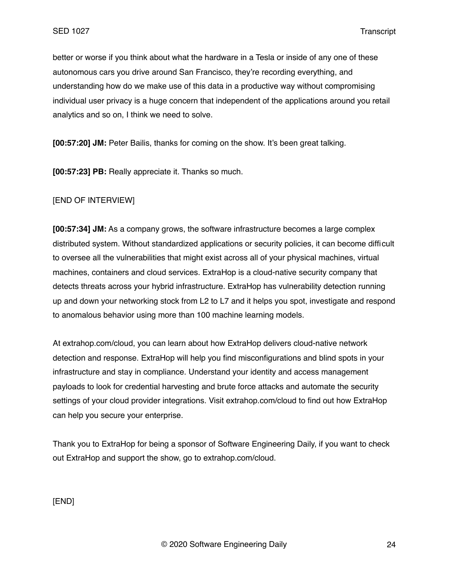better or worse if you think about what the hardware in a Tesla or inside of any one of these autonomous cars you drive around San Francisco, they're recording everything, and understanding how do we make use of this data in a productive way without compromising individual user privacy is a huge concern that independent of the applications around you retail analytics and so on, I think we need to solve.

**[00:57:20] JM:** Peter Bailis, thanks for coming on the show. It's been great talking.

**[00:57:23] PB:** Really appreciate it. Thanks so much.

[END OF INTERVIEW]

**[00:57:34] JM:** As a company grows, the software infrastructure becomes a large complex distributed system. Without standardized applications or security policies, it can become difficult to oversee all the vulnerabilities that might exist across all of your physical machines, virtual machines, containers and cloud services. ExtraHop is a cloud-native security company that detects threats across your hybrid infrastructure. ExtraHop has vulnerability detection running up and down your networking stock from L2 to L7 and it helps you spot, investigate and respond to anomalous behavior using more than 100 machine learning models.

At extrahop.com/cloud, you can learn about how ExtraHop delivers cloud-native network detection and response. ExtraHop will help you find misconfigurations and blind spots in your infrastructure and stay in compliance. Understand your identity and access management payloads to look for credential harvesting and brute force attacks and automate the security settings of your cloud provider integrations. Visit extrahop.com/cloud to find out how ExtraHop can help you secure your enterprise.

Thank you to ExtraHop for being a sponsor of Software Engineering Daily, if you want to check out ExtraHop and support the show, go to extrahop.com/cloud.

[END]